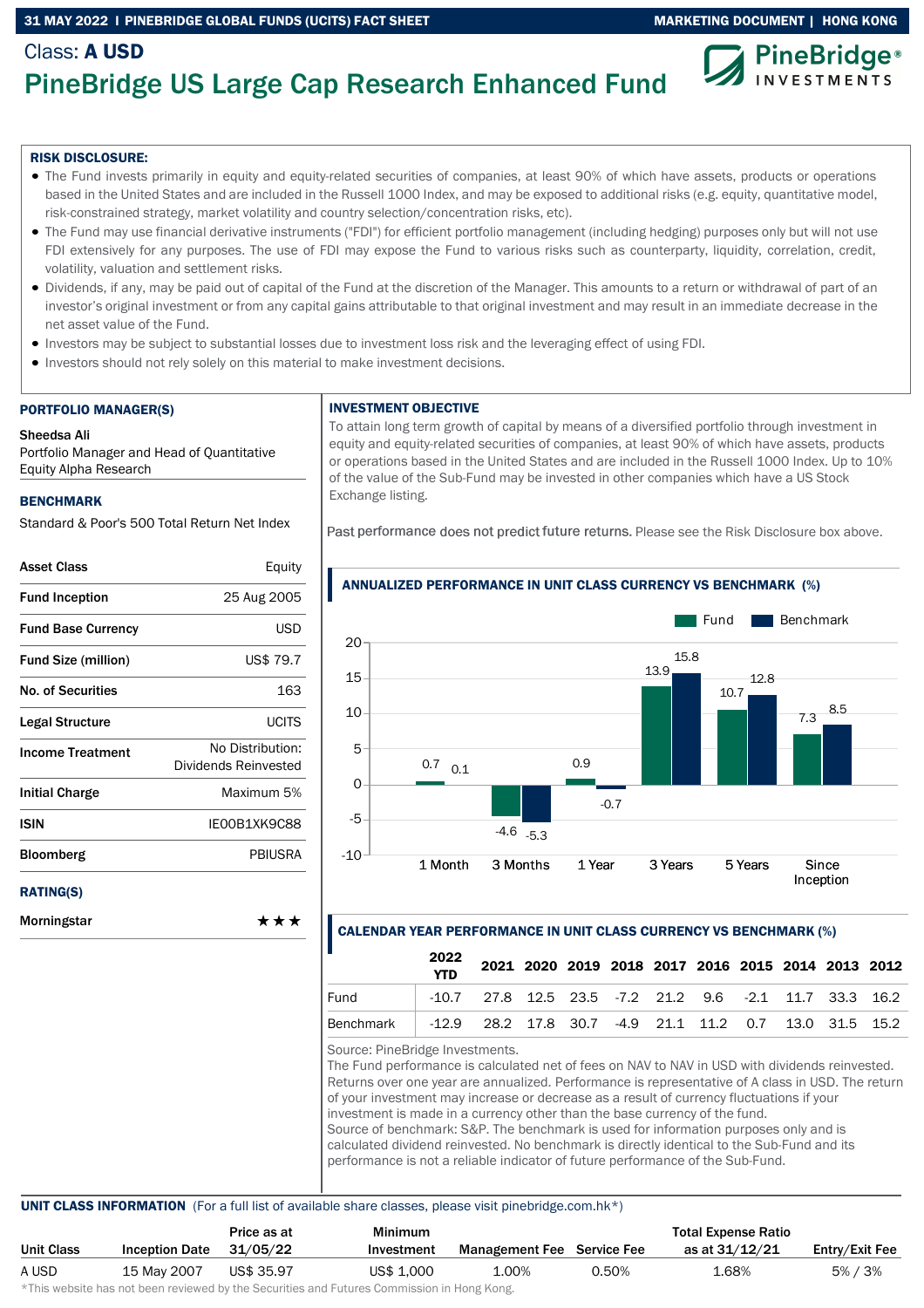## 31 MAY 2022 I PINEBRIDGE GLOBAL FUNDS (UCITS) FACT SHEET MARKETING DOCUMENT | HONG KONG



# PineBridge US Large Cap Research Enhanced Fund

### RISK DISCLOSURE:

Class: A USD

- The Fund invests primarily in equity and equity-related securities of companies, at least 90% of which have assets, products or operations based in the United States and are included in the Russell 1000 Index, and may be exposed to additional risks (e.g. equity, quantitative model, risk-constrained strategy, market volatility and country selection/concentration risks, etc).
- The Fund may use financial derivative instruments ("FDI") for efficient portfolio management (including hedging) purposes only but will not use FDI extensively for any purposes. The use of FDI may expose the Fund to various risks such as counterparty, liquidity, correlation, credit, volatility, valuation and settlement risks.
- Dividends, if any, may be paid out of capital of the Fund at the discretion of the Manager. This amounts to a return or withdrawal of part of an investor's original investment or from any capital gains attributable to that original investment and may result in an immediate decrease in the net asset value of the Fund.
- Investors may be subject to substantial losses due to investment loss risk and the leveraging effect of using FDI.
- Investors should not rely solely on this material to make investment decisions.

#### PORTFOLIO MANAGER(S)

### Sheedsa Ali

Portfolio Manager and Head of Quantitative Equity Alpha Research

### **BENCHMARK**

Standard & Poor's 500 Total Return Net Index

| <b>Asset Class</b>         | Equity                                   |
|----------------------------|------------------------------------------|
| <b>Fund Inception</b>      | 25 Aug 2005                              |
| <b>Fund Base Currency</b>  | <b>USD</b>                               |
| <b>Fund Size (million)</b> | US\$ 79.7                                |
| <b>No. of Securities</b>   | 163                                      |
| Legal Structure            | <b>UCITS</b>                             |
| <b>Income Treatment</b>    | No Distribution:<br>Dividends Reinvested |
| <b>Initial Charge</b>      | Maximum 5%                               |
| ISIN                       | IE00B1XK9C88                             |
| <b>Bloomberg</b>           | PBIUSRA                                  |
| <b>RATING(S)</b>           |                                          |
| Morningstar                | ***                                      |

## INVESTMENT OBJECTIVE

To attain long term growth of capital by means of a diversified portfolio through investment in equity and equity-related securities of companies, at least 90% of which have assets, products or operations based in the United States and are included in the Russell 1000 Index. Up to 10% of the value of the Sub-Fund may be invested in other companies which have a US Stock Exchange listing.

Past performance does not predict future returns. Please see the Risk Disclosure box above.



## ANNUALIZED PERFORMANCE IN UNIT CLASS CURRENCY VS BENCHMARK (%)

### CALENDAR YEAR PERFORMANCE IN UNIT CLASS CURRENCY VS BENCHMARK (%)

|           | 2022<br><b>YTD</b>                                               |                                                              |  |  |  | 2021 2020 2019 2018 2017 2016 2015 2014 2013 2012 |  |
|-----------|------------------------------------------------------------------|--------------------------------------------------------------|--|--|--|---------------------------------------------------|--|
| Fund      |                                                                  | $-10.7$ 27.8 12.5 23.5 $-7.2$ 21.2 9.6 $-2.1$ 11.7 33.3 16.2 |  |  |  |                                                   |  |
| Benchmark | -12.9  28.2  17.8  30.7  -4.9  21.1  11.2  0.7  13.0  31.5  15.2 |                                                              |  |  |  |                                                   |  |

Source: PineBridge Investments.

The Fund performance is calculated net of fees on NAV to NAV in USD with dividends reinvested. Returns over one year are annualized. Performance is representative of A class in USD. The return of your investment may increase or decrease as a result of currency fluctuations if your investment is made in a currency other than the base currency of the fund. Source of benchmark: S&P. The benchmark is used for information purposes only and is calculated dividend reinvested. No benchmark is directly identical to the Sub-Fund and its performance is not a reliable indicator of future performance of the Sub-Fund.

### UNIT CLASS INFORMATION (For a full list of available share classes, please visit pinebridge.com.hk\*)

|                   |                       | Price as at | Minimum                                                                                                        |                                   |       | <b>Total Expense Ratio</b> |                |
|-------------------|-----------------------|-------------|----------------------------------------------------------------------------------------------------------------|-----------------------------------|-------|----------------------------|----------------|
| <b>Unit Class</b> | <b>Inception Date</b> | 31/05/22    | Investment                                                                                                     | <b>Management Fee</b> Service Fee |       | as at 31/12/21             | Entry/Exit Fee |
| A USD             | 15 May 2007           | US\$ 35.97  | US\$ 1,000                                                                                                     | 1.00%                             | 0.50% | 1.68%                      | 5% / 3%        |
|                   |                       |             | de Tiple and is deed to be a constant of the first of the state of the state of Association for House I/ and a |                                   |       |                            |                |

\*This website has not been reviewed by the Securities and Futures Commission in Hong Kong.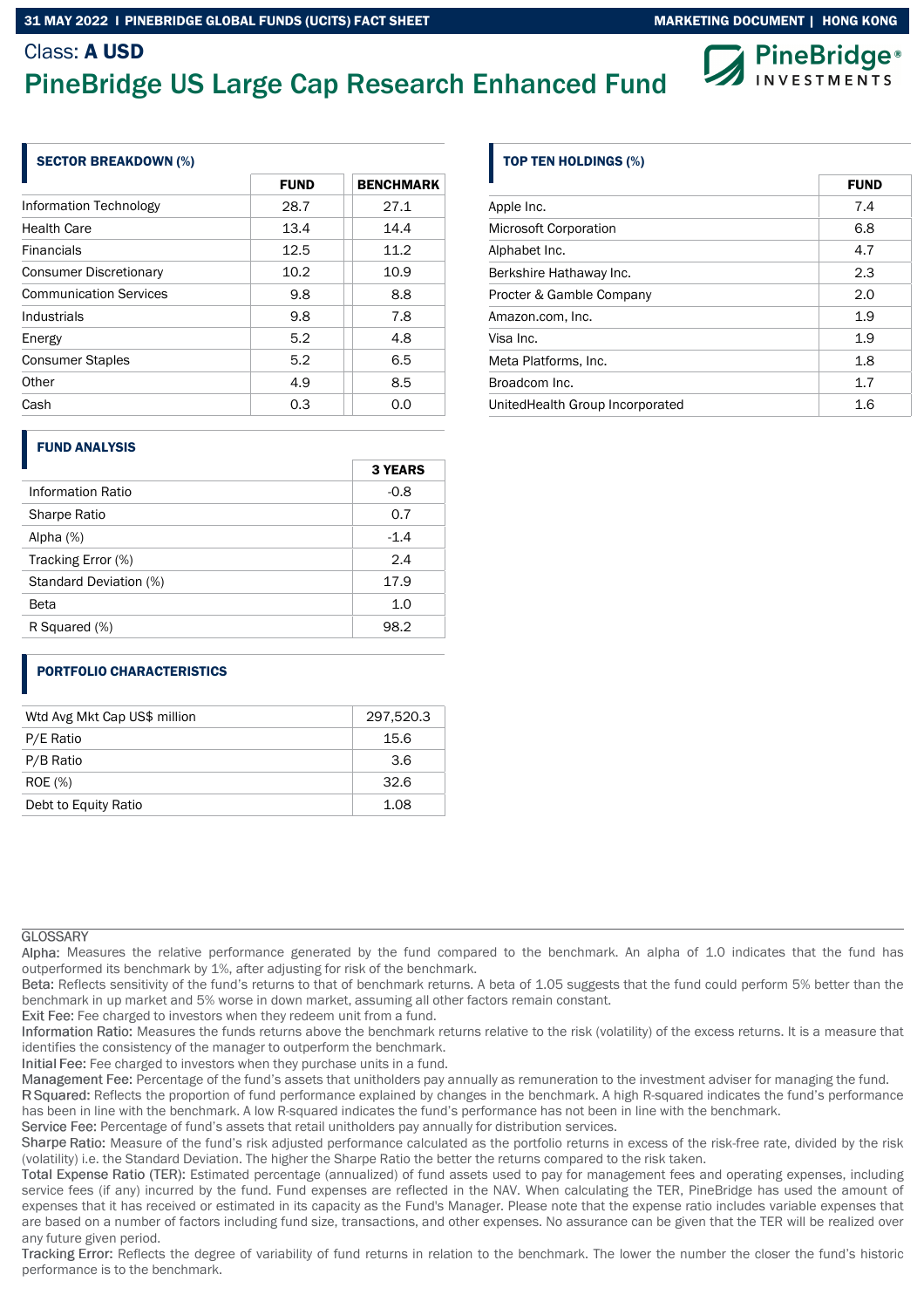## Class: A USD





### SECTOR BREAKDOWN (%)

|                               | <b>FUND</b> | <b>BENCHMARK</b> |
|-------------------------------|-------------|------------------|
| Information Technology        | 28.7        | 27.1             |
| <b>Health Care</b>            | 13.4        | 14.4             |
| <b>Financials</b>             | 12.5        | 11.2             |
| <b>Consumer Discretionary</b> | 10.2        | 10.9             |
| <b>Communication Services</b> | 9.8         | 8.8              |
| Industrials                   | 9.8         | 7.8              |
| Energy                        | 5.2         | 4.8              |
| <b>Consumer Staples</b>       | 5.2         | 6.5              |
| Other                         | 4.9         | 8.5              |
| Cash                          | 0.3         | 0.0              |

### FUND ANALYSIS

|                          | <b>3 YEARS</b> |
|--------------------------|----------------|
| <b>Information Ratio</b> | $-0.8$         |
| Sharpe Ratio             | 0.7            |
| Alpha $(%)$              | $-1.4$         |
| Tracking Error (%)       | 2.4            |
| Standard Deviation (%)   | 17.9           |
| Beta                     | 1.0            |
| R Squared (%)            | 98.2           |
|                          |                |

## PORTFOLIO CHARACTERISTICS

| Wtd Avg Mkt Cap US\$ million | 297,520.3 |
|------------------------------|-----------|
| P/E Ratio                    | 15.6      |
| P/B Ratio                    | 3.6       |
| <b>ROE</b> (%)               | 32.6      |
| Debt to Equity Ratio         | 1.08      |

### **GLOSSARY**

Alpha: Measures the relative performance generated by the fund compared to the benchmark. An alpha of 1.0 indicates that the fund has outperformed its benchmark by 1%, after adjusting for risk of the benchmark.

Beta: Reflects sensitivity of the fund's returns to that of benchmark returns. A beta of 1.05 suggests that the fund could perform 5% better than the benchmark in up market and 5% worse in down market, assuming all other factors remain constant.

Exit Fee: Fee charged to investors when they redeem unit from a fund.

Information Ratio: Measures the funds returns above the benchmark returns relative to the risk (volatility) of the excess returns. It is a measure that identifies the consistency of the manager to outperform the benchmark.

Initial Fee: Fee charged to investors when they purchase units in a fund.

Management Fee: Percentage of the fund's assets that unitholders pay annually as remuneration to the investment adviser for managing the fund.

R Squared: Reflects the proportion of fund performance explained by changes in the benchmark. A high R-squared indicates the fund's performance has been in line with the benchmark. A low R-squared indicates the fund's performance has not been in line with the benchmark.

Service Fee: Percentage of fund's assets that retail unitholders pay annually for distribution services.

Sharpe Ratio: Measure of the fund's risk adjusted performance calculated as the portfolio returns in excess of the risk-free rate, divided by the risk (volatility) i.e. the Standard Deviation. The higher the Sharpe Ratio the better the returns compared to the risk taken.

Total Expense Ratio (TER): Estimated percentage (annualized) of fund assets used to pay for management fees and operating expenses, including service fees (if any) incurred by the fund. Fund expenses are reflected in the NAV. When calculating the TER, PineBridge has used the amount of expenses that it has received or estimated in its capacity as the Fund's Manager. Please note that the expense ratio includes variable expenses that are based on a number of factors including fund size, transactions, and other expenses. No assurance can be given that the TER will be realized over any future given period.

Tracking Error: Reflects the degree of variability of fund returns in relation to the benchmark. The lower the number the closer the fund's historic performance is to the benchmark.

## TOP TEN HOLDINGS (%)

|                                  | <b>FUND</b> |
|----------------------------------|-------------|
| Apple Inc.                       | 7.4         |
| <b>Microsoft Corporation</b>     | 6.8         |
| Alphabet Inc.                    | 4.7         |
| Berkshire Hathaway Inc.          | 2.3         |
| Procter & Gamble Company         | 2.0         |
| Amazon.com, Inc.                 | 1.9         |
| Visa Inc.                        | 1.9         |
| Meta Platforms, Inc.             | 1.8         |
| Broadcom Inc.                    | 1.7         |
| United Health Group Incorporated | 1.6         |